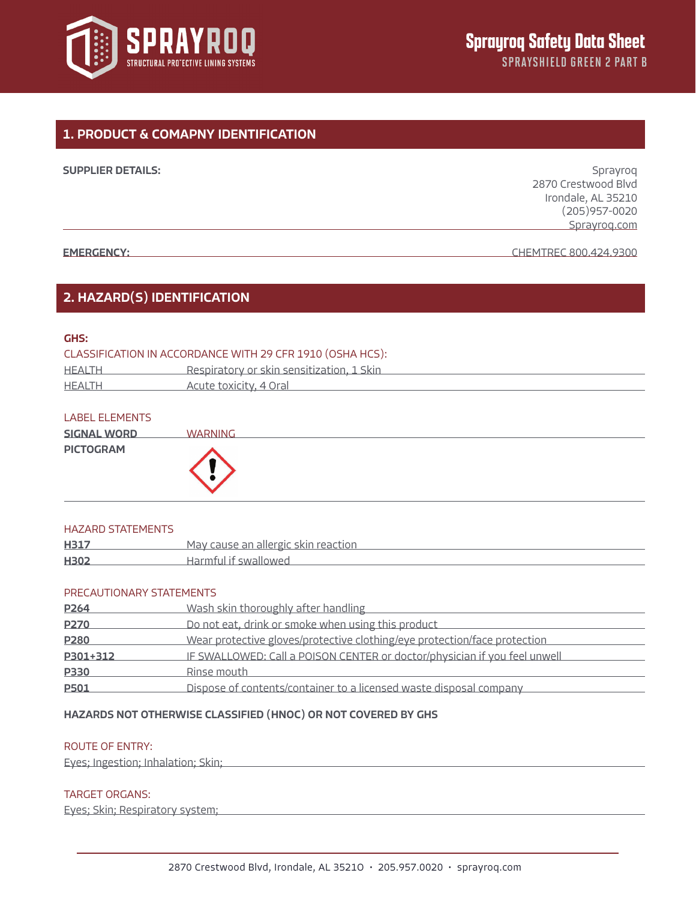

# 1. PRODUCT & COMAPNY IDENTIFICATION

| <b>SUPPLIER DETAILS:</b> | Sprayrog              |
|--------------------------|-----------------------|
|                          | 2870 Crestwood Blvd   |
|                          | Irondale, AL 35210    |
|                          | $(205)957 - 0020$     |
|                          | Sprayrog.com          |
|                          |                       |
| <b>EMERGENCY:</b>        | CHEMTREC 800.424.9300 |

## 2. HAZARD(S) IDENTIFICATION

## GHS:

| CLASSIFICATION IN ACCORDANCE WITH 29 CFR 1910 (OSHA HCS): |                                                  |  |
|-----------------------------------------------------------|--------------------------------------------------|--|
| HEALTH                                                    | <u>Respiratory or skin sensitization, 1 Skin</u> |  |
| HEALTH                                                    | Acute toxicity, 4 Oral                           |  |

#### LABEL ELEMENTS

| <b>SIGNAL WORD</b> | <b>WARNING</b> |
|--------------------|----------------|
| <b>PICTOGRAM</b>   |                |

#### HAZARD STATEMENTS

| <b>H317</b> | May cause an allergic skin reaction |
|-------------|-------------------------------------|
| H302        | Harmful it swallowed                |

#### PRECAUTIONARY STATEMENTS

| P <sub>264</sub> | Wash skin thoroughly after handling                                       |
|------------------|---------------------------------------------------------------------------|
| <b>P270</b>      | Do not eat, drink or smoke when using this product                        |
| P <sub>280</sub> | Wear protective gloves/protective clothing/eye protection/face protection |
| P301+312         | IF SWALLOWED: Call a POISON CENTER or doctor/physician if you feel unwell |
| P330             | Rinse mouth                                                               |
| P501             | Dispose of contents/container to a licensed waste disposal company        |

## HAZARDS NOT OTHERWISE CLASSIFIED (HNOC) OR NOT COVERED BY GHS

#### ROUTE OF ENTRY:

Eyes; Ingestion; Inhalation; Skin;

### TARGET ORGANS:

Eyes; Skin; Respiratory system;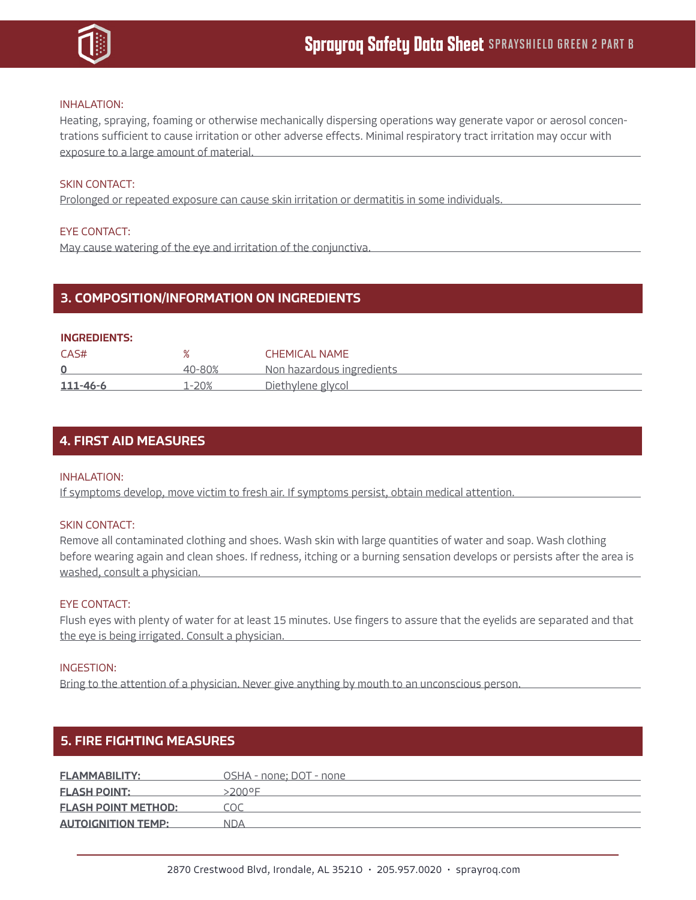

#### INHALATION:

Heating, spraying, foaming or otherwise mechanically dispersing operations way generate vapor or aerosol concentrations sufficient to cause irritation or other adverse effects. Minimal respiratory tract irritation may occur with exposure to a large amount of material.

#### SKIN CONTACT:

Prolonged or repeated exposure can cause skin irritation or dermatitis in some individuals.

#### EYE CONTACT:

May cause watering of the eye and irritation of the conjunctiva.

## 3. COMPOSITION/INFORMATION ON INGREDIENTS

#### INGREDIENTS:

| CAS#     |        | <b>CHEMICAL NAME</b>      |
|----------|--------|---------------------------|
|          | 40-80% | Non hazardous ingredients |
| 111-46-6 | 1-20%  | <u>Diethvlene glycol</u>  |

### 4. FIRST AID MEASURES

#### INHALATION:

If symptoms develop, move victim to fresh air. If symptoms persist, obtain medical attention.

#### SKIN CONTACT:

Remove all contaminated clothing and shoes. Wash skin with large quantities of water and soap. Wash clothing before wearing again and clean shoes. If redness, itching or a burning sensation develops or persists after the area is washed, consult a physician.

#### EYE CONTACT:

Flush eyes with plenty of water for at least 15 minutes. Use fingers to assure that the eyelids are separated and that the eye is being irrigated. Consult a physician.

#### INGESTION:

Bring to the attention of a physician. Never give anything by mouth to an unconscious person.

### 5. FIRE FIGHTING MEASURES

| <b>FLAMMABILITY:</b>       | OSHA - none: DOT - none |
|----------------------------|-------------------------|
| <b>FLASH POINT:</b>        | >200∘E                  |
| <b>FLASH POINT METHOD:</b> |                         |
| <b>AUTOIGNITION TEMP:</b>  | NDA                     |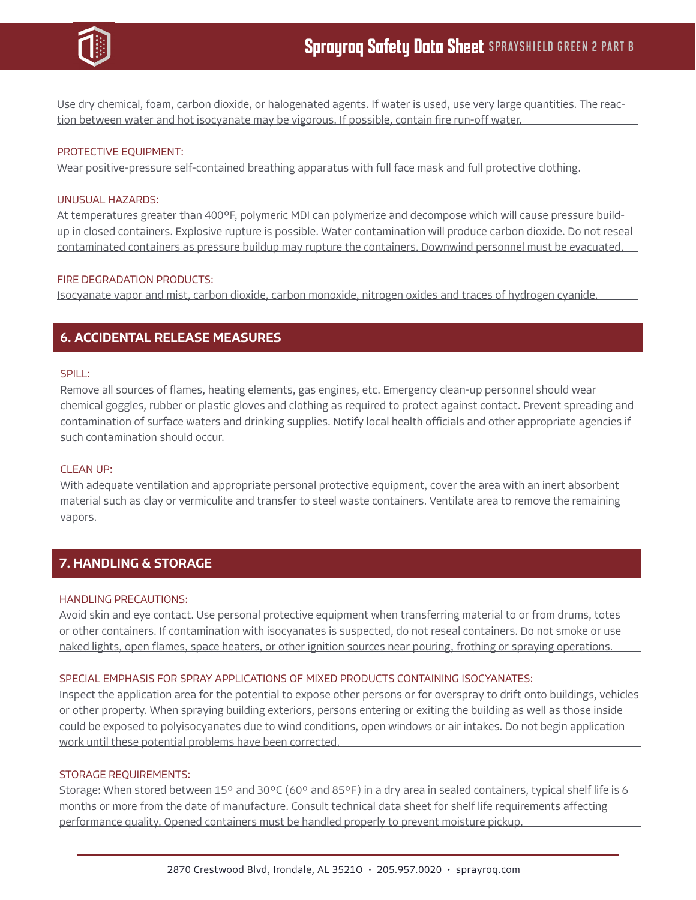

Use dry chemical, foam, carbon dioxide, or halogenated agents. If water is used, use very large quantities. The reaction between water and hot isocyanate may be vigorous. If possible, contain fire run-off water.

#### PROTECTIVE EQUIPMENT:

Wear positive-pressure self-contained breathing apparatus with full face mask and full protective clothing.

#### UNUSUAL HAZARDS:

At temperatures greater than 400°F, polymeric MDI can polymerize and decompose which will cause pressure buildup in closed containers. Explosive rupture is possible. Water contamination will produce carbon dioxide. Do not reseal contaminated containers as pressure buildup may rupture the containers. Downwind personnel must be evacuated.

#### FIRE DEGRADATION PRODUCTS:

Isocyanate vapor and mist, carbon dioxide, carbon monoxide, nitrogen oxides and traces of hydrogen cyanide.

## 6. ACCIDENTAL RELEASE MEASURES

#### SPILL:

Remove all sources of flames, heating elements, gas engines, etc. Emergency clean-up personnel should wear chemical goggles, rubber or plastic gloves and clothing as required to protect against contact. Prevent spreading and contamination of surface waters and drinking supplies. Notify local health officials and other appropriate agencies if such contamination should occur.

### CLEAN UP:

With adequate ventilation and appropriate personal protective equipment, cover the area with an inert absorbent material such as clay or vermiculite and transfer to steel waste containers. Ventilate area to remove the remaining vapors.

# 7. HANDLING & STORAGE

#### HANDLING PRECAUTIONS:

Avoid skin and eye contact. Use personal protective equipment when transferring material to or from drums, totes or other containers. If contamination with isocyanates is suspected, do not reseal containers. Do not smoke or use naked lights, open flames, space heaters, or other ignition sources near pouring, frothing or spraying operations.

#### SPECIAL EMPHASIS FOR SPRAY APPLICATIONS OF MIXED PRODUCTS CONTAINING ISOCYANATES:

Inspect the application area for the potential to expose other persons or for overspray to drift onto buildings, vehicles or other property. When spraying building exteriors, persons entering or exiting the building as well as those inside could be exposed to polyisocyanates due to wind conditions, open windows or air intakes. Do not begin application work until these potential problems have been corrected.

#### STORAGE REQUIREMENTS:

Storage: When stored between 15° and 30°C (60° and 85°F) in a dry area in sealed containers, typical shelf life is 6 months or more from the date of manufacture. Consult technical data sheet for shelf life requirements affecting performance quality. Opened containers must be handled properly to prevent moisture pickup.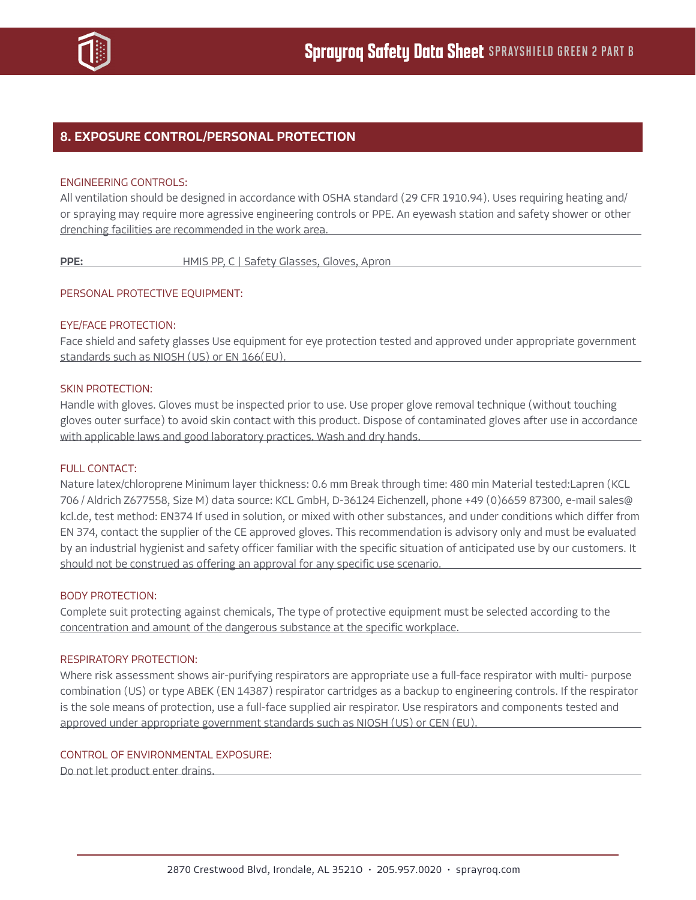

## 8. EXPOSURE CONTROL/PERSONAL PROTECTION

#### ENGINEERING CONTROLS:

All ventilation should be designed in accordance with OSHA standard (29 CFR 1910.94). Uses requiring heating and/ or spraying may require more agressive engineering controls or PPE. An eyewash station and safety shower or other drenching facilities are recommended in the work area.

PPE: HMIS PP, C | Safety Glasses, Gloves, Apron

#### PERSONAL PROTECTIVE EQUIPMENT:

#### EYE/FACE PROTECTION:

Face shield and safety glasses Use equipment for eye protection tested and approved under appropriate government standards such as NIOSH (US) or EN 166(EU).

## SKIN PROTECTION:

Handle with gloves. Gloves must be inspected prior to use. Use proper glove removal technique (without touching gloves outer surface) to avoid skin contact with this product. Dispose of contaminated gloves after use in accordance with applicable laws and good laboratory practices. Wash and dry hands.

#### FULL CONTACT:

Nature latex/chloroprene Minimum layer thickness: 0.6 mm Break through time: 480 min Material tested:Lapren (KCL 706 / Aldrich Z677558, Size M) data source: KCL GmbH, D-36124 Eichenzell, phone +49 (0)6659 87300, e-mail sales@ kcl.de, test method: EN374 If used in solution, or mixed with other substances, and under conditions which differ from EN 374, contact the supplier of the CE approved gloves. This recommendation is advisory only and must be evaluated by an industrial hygienist and safety officer familiar with the specific situation of anticipated use by our customers. It should not be construed as offering an approval for any specific use scenario.

#### BODY PROTECTION:

Complete suit protecting against chemicals, The type of protective equipment must be selected according to the concentration and amount of the dangerous substance at the specific workplace.

#### RESPIRATORY PROTECTION:

Where risk assessment shows air-purifying respirators are appropriate use a full-face respirator with multi- purpose combination (US) or type ABEK (EN 14387) respirator cartridges as a backup to engineering controls. If the respirator is the sole means of protection, use a full-face supplied air respirator. Use respirators and components tested and approved under appropriate government standards such as NIOSH (US) or CEN (EU).

#### CONTROL OF ENVIRONMENTAL EXPOSURE:

Do not let product enter drains.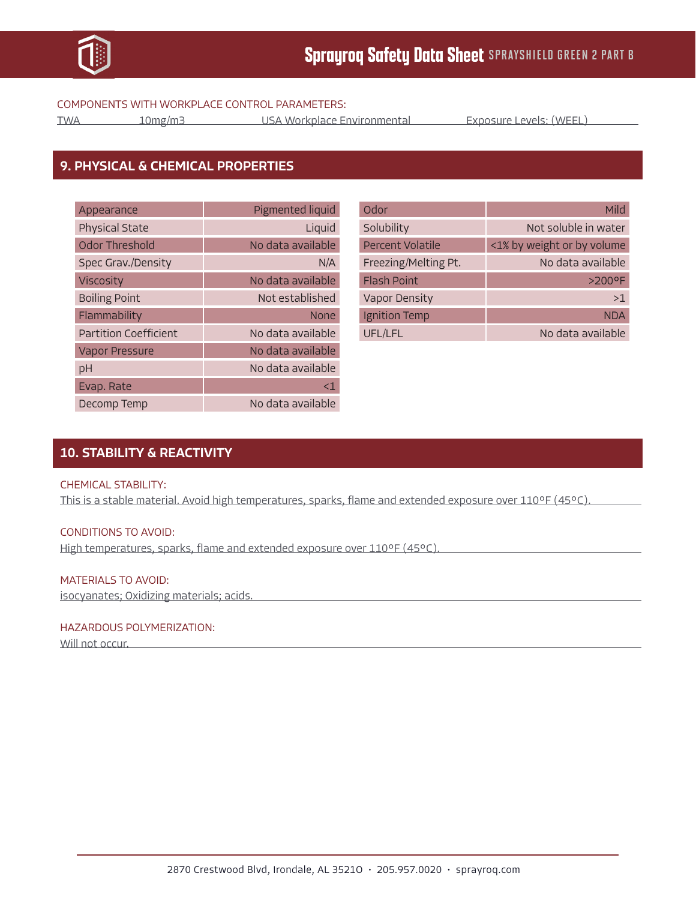

#### COMPONENTS WITH WORKPLACE CONTROL PARAMETERS:

TWA 10mg/m3 USA Workplace Environmental Exposure Levels: (WEEL)

## 9. PHYSICAL & CHEMICAL PROPERTIES

| Appearance                   | Pigmented liquid  |
|------------------------------|-------------------|
| <b>Physical State</b>        | Liquid            |
| Odor Threshold               | No data available |
| Spec Grav./Density           | N/A               |
| Viscosity                    | No data available |
| <b>Boiling Point</b>         | Not established   |
| Flammability                 | <b>None</b>       |
| <b>Partition Coefficient</b> | No data available |
| <b>Vapor Pressure</b>        | No data available |
| pH                           | No data available |
| Evap. Rate                   | <1                |
| Decomp Temp                  | No data available |

| Odor                 | Mild                       |
|----------------------|----------------------------|
| Solubility           | Not soluble in water       |
| Percent Volatile     | <1% by weight or by volume |
| Freezing/Melting Pt. | No data available          |
| <b>Flash Point</b>   | $>200$ <sup>o</sup> F      |
| <b>Vapor Density</b> | >1                         |
| Ignition Temp        | <b>NDA</b>                 |
| UFL/LFL              | No data available          |

# 10. STABILITY & REACTIVITY

### CHEMICAL STABILITY:

This is a stable material. Avoid high temperatures, sparks, flame and extended exposure over 110°F (45°C).

### CONDITIONS TO AVOID:

High temperatures, sparks, flame and extended exposure over 110°F (45°C).

### MATERIALS TO AVOID:

isocyanates; Oxidizing materials; acids.

#### HAZARDOUS POLYMERIZATION:

Will not occur.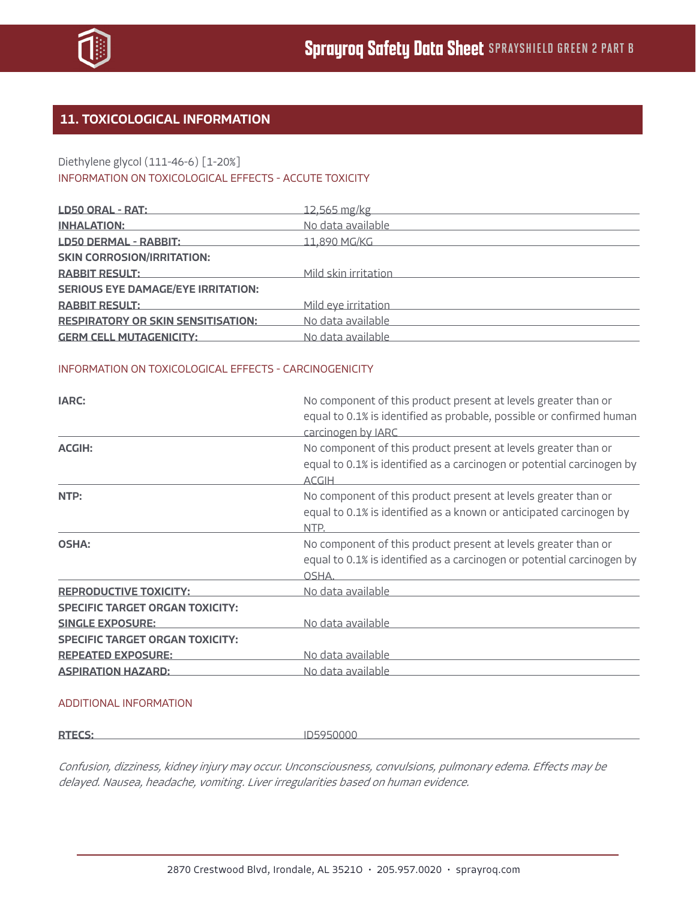

# 11. TOXICOLOGICAL INFORMATION

## Diethylene glycol (111-46-6) [1-20%] INFORMATION ON TOXICOLOGICAL EFFECTS - ACCUTE TOXICITY

| LD50 ORAL - RAT:                          | 12,565 mg/kg         |
|-------------------------------------------|----------------------|
| <b>INHALATION:</b>                        | No data available    |
| <b>LD50 DERMAL - RABBIT:</b>              | 11,890 MG/KG         |
| <b>SKIN CORROSION/IRRITATION:</b>         |                      |
| <b>RABBIT RESULT:</b>                     | Mild skin irritation |
| <b>SERIOUS EYE DAMAGE/EYE IRRITATION:</b> |                      |
| <b>RABBIT RESULT:</b>                     | Mild eye irritation  |
| <b>RESPIRATORY OR SKIN SENSITISATION:</b> | No data available    |
| <b>GERM CELL MUTAGENICITY:</b>            | No data available    |

### INFORMATION ON TOXICOLOGICAL EFFECTS - CARCINOGENICITY

| IARC:                                  | No component of this product present at levels greater than or<br>equal to 0.1% is identified as probable, possible or confirmed human<br>carcinogen by IARC |
|----------------------------------------|--------------------------------------------------------------------------------------------------------------------------------------------------------------|
| <b>ACGIH:</b>                          | No component of this product present at levels greater than or<br>equal to 0.1% is identified as a carcinogen or potential carcinogen by<br><b>ACGIH</b>     |
| NTP:                                   | No component of this product present at levels greater than or<br>equal to 0.1% is identified as a known or anticipated carcinogen by<br>NTP.                |
| <b>OSHA:</b>                           | No component of this product present at levels greater than or<br>equal to 0.1% is identified as a carcinogen or potential carcinogen by<br>OSHA.            |
| <b>REPRODUCTIVE TOXICITY:</b>          | No data available                                                                                                                                            |
| <b>SPECIFIC TARGET ORGAN TOXICITY:</b> |                                                                                                                                                              |
| <b>SINGLE EXPOSURE:</b>                | No data available                                                                                                                                            |
| <b>SPECIFIC TARGET ORGAN TOXICITY:</b> |                                                                                                                                                              |
| <b>REPEATED EXPOSURE:</b>              | No data available                                                                                                                                            |
| <b>ASPIRATION HAZARD:</b>              | <u>No data available </u>                                                                                                                                    |

#### ADDITIONAL INFORMATION

**RTECS:** ID5950000

Confusion, dizziness, kidney injury may occur. Unconsciousness, convulsions, pulmonary edema. Effects may be delayed. Nausea, headache, vomiting. Liver irregularities based on human evidence.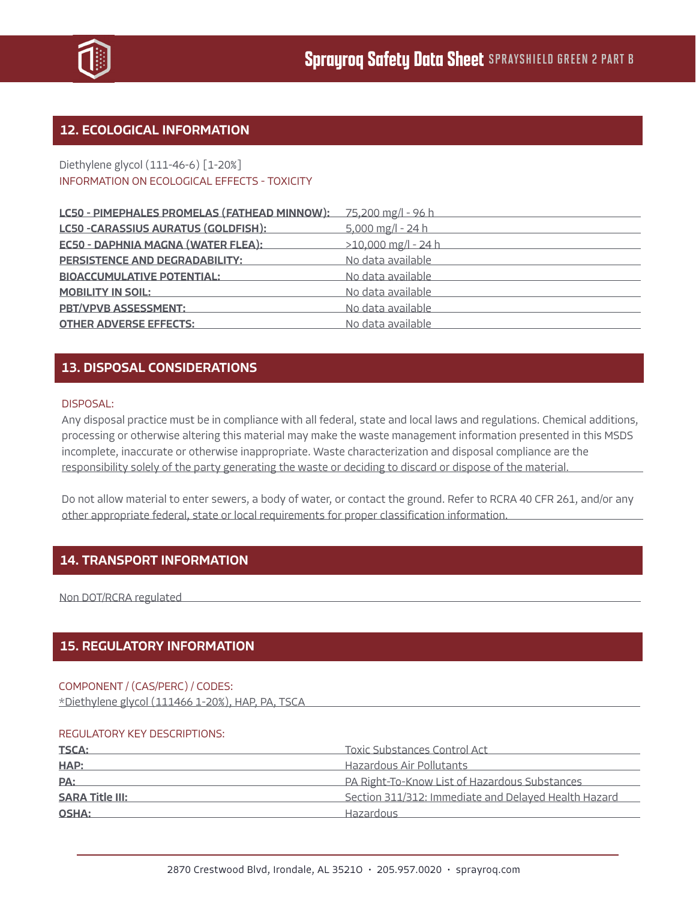

## 12. ECOLOGICAL INFORMATION

### Diethylene glycol (111-46-6) [1-20%] INFORMATION ON ECOLOGICAL EFFECTS - TOXICITY

| LC50 - PIMEPHALES PROMELAS (FATHEAD MINNOW): 75,200 mg/l - 96 h |                       |
|-----------------------------------------------------------------|-----------------------|
| LC50 - CARASSIUS AURATUS (GOLDFISH):                            | 5,000 mg/l - 24 h     |
| <b>EC50 - DAPHNIA MAGNA (WATER FLEA):</b>                       | $>10,000$ mg/l - 24 h |
| PERSISTENCE AND DEGRADABILITY:                                  | No data available     |
| <b>BIOACCUMULATIVE POTENTIAL:</b>                               | No data available     |
| <b>MOBILITY IN SOIL:</b>                                        | No data available     |
| <b>PBT/VPVB ASSESSMENT:</b>                                     | No data available     |
| <b>OTHER ADVERSE EFFECTS:</b>                                   | No data available     |

## 13. DISPOSAL CONSIDERATIONS

#### DISPOSAL:

Any disposal practice must be in compliance with all federal, state and local laws and regulations. Chemical additions, processing or otherwise altering this material may make the waste management information presented in this MSDS incomplete, inaccurate or otherwise inappropriate. Waste characterization and disposal compliance are the responsibility solely of the party generating the waste or deciding to discard or dispose of the material.

Do not allow material to enter sewers, a body of water, or contact the ground. Refer to RCRA 40 CFR 261, and/or any other appropriate federal, state or local requirements for proper classification information.

## 14. TRANSPORT INFORMATION

Non DOT/RCRA regulated

## 15. REGULATORY INFORMATION

#### COMPONENT / (CAS/PERC) / CODES:

\*Diethylene glycol (111466 1-20%), HAP, PA, TSCA

#### REGULATORY KEY DESCRIPTIONS:

| <b>TSCA:</b>           | Toxic Substances Control Act                         |
|------------------------|------------------------------------------------------|
| HAP:                   | Hazardous Air Pollutants                             |
| PA:                    | PA Right-To-Know List of Hazardous Substances        |
| <b>SARA Title III:</b> | Section 311/312: Immediate and Delayed Health Hazard |
| OSHA:                  | Hazardous                                            |